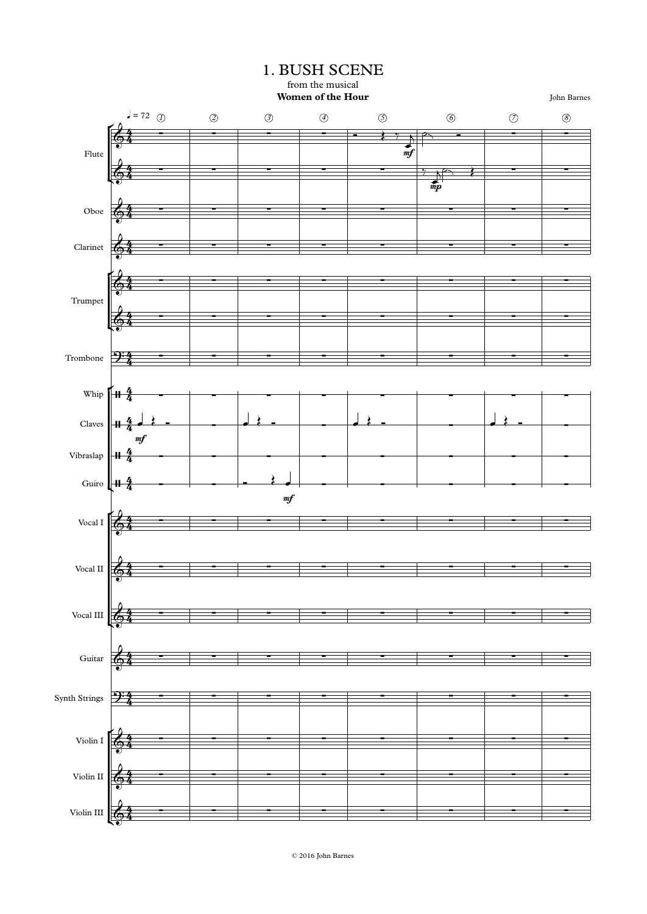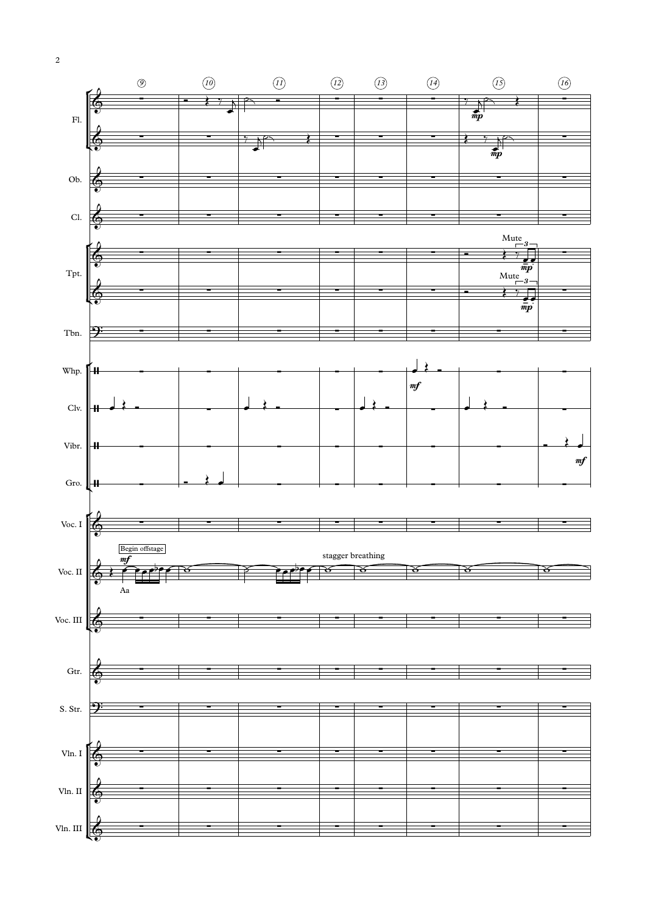